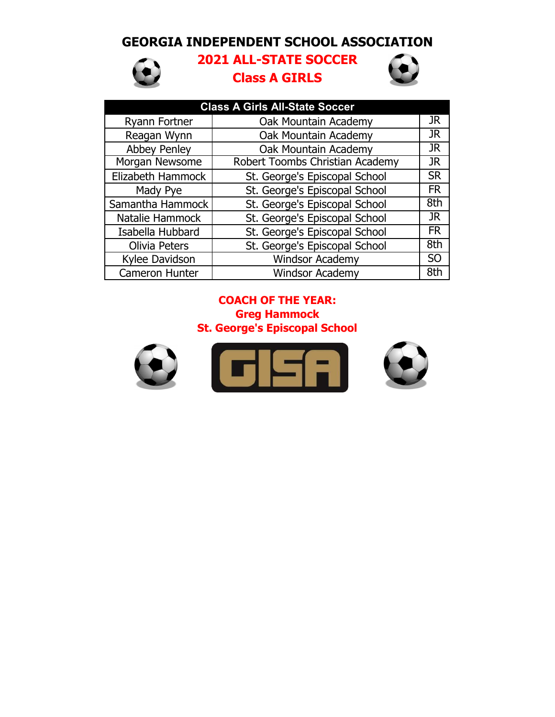## **GEORGIA INDEPENDENT SCHOOL ASSOCIATION**



# **2021 ALL-STATE SOCCER Class A GIRLS**



| <b>Class A Girls All-State Soccer</b> |                                 |           |  |  |
|---------------------------------------|---------------------------------|-----------|--|--|
| Ryann Fortner                         | Oak Mountain Academy            | JR        |  |  |
| Reagan Wynn                           | Oak Mountain Academy            | JR        |  |  |
| <b>Abbey Penley</b>                   | Oak Mountain Academy            | <b>JR</b> |  |  |
| Morgan Newsome                        | Robert Toombs Christian Academy | <b>JR</b> |  |  |
| Elizabeth Hammock                     | St. George's Episcopal School   | <b>SR</b> |  |  |
| Mady Pye                              | St. George's Episcopal School   | <b>FR</b> |  |  |
| Samantha Hammock                      | St. George's Episcopal School   | 8th       |  |  |
| Natalie Hammock                       | St. George's Episcopal School   | <b>JR</b> |  |  |
| Isabella Hubbard                      | St. George's Episcopal School   | <b>FR</b> |  |  |
| <b>Olivia Peters</b>                  | St. George's Episcopal School   | 8th       |  |  |
| Kylee Davidson                        | <b>Windsor Academy</b>          | <b>SO</b> |  |  |
| Cameron Hunter                        | <b>Windsor Academy</b>          | 8th       |  |  |

### **Greg Hammock St. George's Episcopal School COACH OF THE YEAR:**

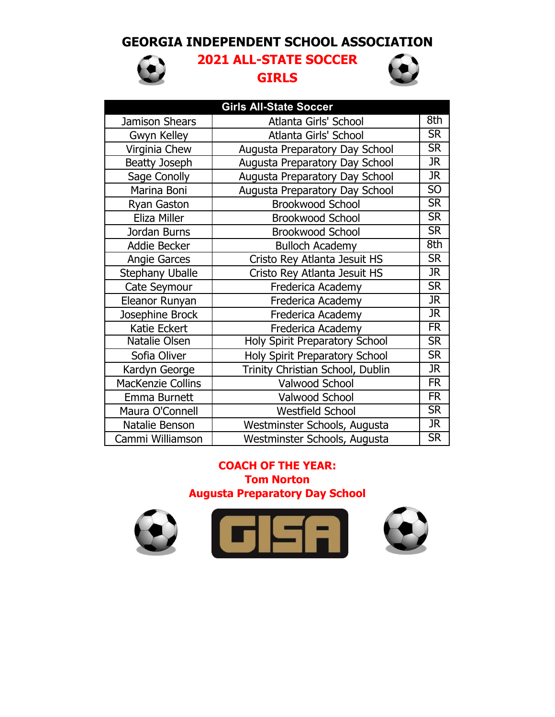## **GEORGIA INDEPENDENT SCHOOL ASSOCIATION**



# **2021 ALL-STATE SOCCER GIRLS**



| <b>Girls All-State Soccer</b> |                                       |                          |  |  |
|-------------------------------|---------------------------------------|--------------------------|--|--|
| Jamison Shears                | Atlanta Girls' School                 | 8th                      |  |  |
| Gwyn Kelley                   | Atlanta Girls' School                 | <b>SR</b>                |  |  |
| Virginia Chew                 | Augusta Preparatory Day School        | $\overline{\text{SR}}$   |  |  |
| <b>Beatty Joseph</b>          | Augusta Preparatory Day School        | $\overline{\text{JR}}$   |  |  |
| Sage Conolly                  | <b>Augusta Preparatory Day School</b> | $\overline{\text{JR}}$   |  |  |
| Marina Boni                   | Augusta Preparatory Day School        | 50                       |  |  |
| <b>Ryan Gaston</b>            | <b>Brookwood School</b>               | <b>SR</b>                |  |  |
| Eliza Miller                  | <b>Brookwood School</b>               | <b>SR</b>                |  |  |
| Jordan Burns                  | <b>Brookwood School</b>               | $\overline{\text{SR}}$   |  |  |
| Addie Becker                  | <b>Bulloch Academy</b>                | 8th                      |  |  |
| <b>Angie Garces</b>           | Cristo Rey Atlanta Jesuit HS          | <b>SR</b>                |  |  |
| <b>Stephany Uballe</b>        | Cristo Rey Atlanta Jesuit HS          | <b>JR</b>                |  |  |
| Cate Seymour                  | Frederica Academy                     | <b>SR</b>                |  |  |
| Eleanor Runyan                | Frederica Academy                     | $\overline{\text{JR}}$   |  |  |
| Josephine Brock               | Frederica Academy                     | $\overline{\text{JR}}$   |  |  |
| Katie Eckert                  | Frederica Academy                     | $\overline{\mathsf{FR}}$ |  |  |
| Natalie Olsen                 | <b>Holy Spirit Preparatory School</b> | $\overline{\text{SR}}$   |  |  |
| Sofia Oliver                  | Holy Spirit Preparatory School        | $\overline{\text{SR}}$   |  |  |
| Kardyn George                 | Trinity Christian School, Dublin      | $\overline{\text{JR}}$   |  |  |
| <b>MacKenzie Collins</b>      | Valwood School                        | $\overline{\mathsf{FR}}$ |  |  |
| Emma Burnett                  | Valwood School                        | $\overline{\mathsf{FR}}$ |  |  |
| Maura O'Connell               | <b>Westfield School</b>               | $\overline{\text{SR}}$   |  |  |
| Natalie Benson                | Westminster Schools, Augusta          | $\overline{\text{JR}}$   |  |  |
| Cammi Williamson              | Westminster Schools, Augusta          | $\overline{\text{SR}}$   |  |  |

#### **Tom Norton Augusta Preparatory Day School COACH OF THE YEAR:**

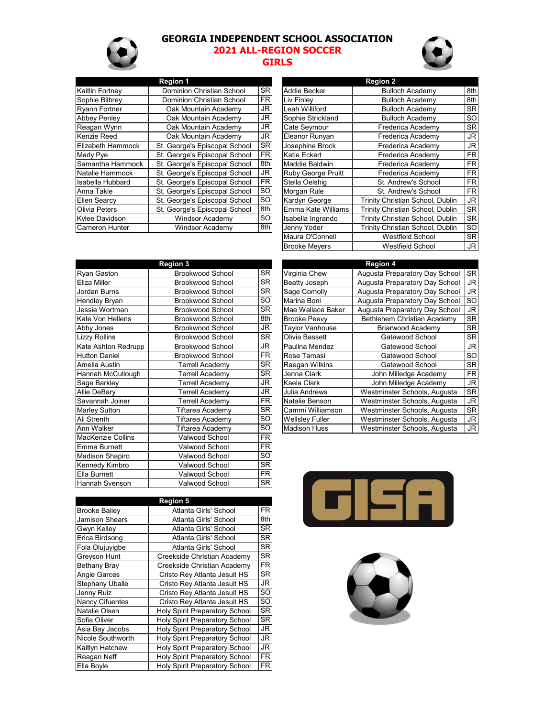#### **GEORGIA INDEPENDENT SCHOOL ASSOCIATION**



# **2021 ALL-REGION SOCCER**

#### **GIRLS**

|                      | <b>Region 1</b>                  |           |                           | <b>Region 2</b>                  |               |
|----------------------|----------------------------------|-----------|---------------------------|----------------------------------|---------------|
| Kaitlin Fortney      | Dominion Christian School        | <b>SR</b> | Addie Becker              | <b>Bulloch Academy</b>           | 8th           |
| Sophie Bilbrey       | <b>Dominion Christian School</b> | FR.       | Liv Finley                | <b>Bulloch Academy</b>           | 8th           |
| <b>Ryann Fortner</b> | Oak Mountain Academy             | JR.       | Leah Williford            | <b>Bulloch Academy</b>           | <b>SR</b>     |
| <b>Abbey Penley</b>  | Oak Mountain Academy             | JR        | Sophie Strickland         | <b>Bulloch Academy</b>           | <b>SO</b>     |
| Reagan Wynn          | Oak Mountain Academy             | JR        | Cate Seymour              | Frederica Academy                | <b>SR</b>     |
| Kenzie Reed          | Oak Mountain Academy             | JR.       | Eleanor Runyan            | Frederica Academy                | JR            |
| Elizabeth Hammock    | St. George's Episcopal School    | <b>SR</b> | Josephine Brock           | Frederica Academy                | JR            |
| Mady Pye             | St. George's Episcopal School    | FR.       | Katie Eckert              | Frederica Academy                | FR            |
| Samantha Hammock     | St. George's Episcopal School    | 8th       | Maddie Baldwin            | Frederica Academy                | <b>FR</b>     |
| Natalie Hammock      | St. George's Episcopal School    | JR        | <b>Ruby George Pruitt</b> | Frederica Academy                | FR            |
| Isabella Hubbard     | St. George's Episcopal School    | <b>FR</b> | Stella Oelshig            | St. Andrew's School              | <b>FR</b>     |
| Anna Takle           | St. George's Episcopal School    | SO        | Morgan Rule               | St. Andrew's School              | FR            |
| Ellen Searcv         | St. George's Episcopal School    | SO        | Kardyn George             | Trinity Christian School, Dublin | JR            |
| <b>Olivia Peters</b> | St. George's Episcopal School    | 8th       | Emma Kate Williams        | Trinity Christian School, Dublin | <b>SR</b>     |
| Kvlee Davidson       | <b>Windsor Academy</b>           | SO.       | Isabella Ingrando         | Trinity Christian School, Dublin | <b>SR</b>     |
| lCameron Hunter      | <b>Windsor Academy</b>           | 8th       | Jenny Yoder               | Trinity Christian School, Dublin | <sub>SO</sub> |
|                      |                                  |           |                           |                                  |               |

|                           | Region 2                         |           |
|---------------------------|----------------------------------|-----------|
| Addie Becker              | <b>Bulloch Academy</b>           | 8th       |
| Liv Finley                | <b>Bulloch Academy</b>           | 8th       |
| Leah Williford            | <b>Bulloch Academy</b>           | <b>SR</b> |
| Sophie Strickland         | <b>Bulloch Academy</b>           | SO        |
| Cate Seymour              | Frederica Academy                | <b>SR</b> |
| Eleanor Runyan            | Frederica Academy                | JR        |
| Josephine Brock           | Frederica Academy                | JR        |
| Katie Eckert              | Frederica Academy                | FR        |
| Maddie Baldwin            | Frederica Academy                | FR        |
| <b>Ruby George Pruitt</b> | Frederica Academy                | FR        |
| Stella Oelshig            | St. Andrew's School              | FR        |
| Morgan Rule               | St. Andrew's School              | FR        |
| Kardyn George             | Trinity Christian School, Dublin | JR        |
| Emma Kate Williams        | Trinity Christian School, Dublin | <b>SR</b> |
| Isabella Ingrando         | Trinity Christian School, Dublin | SR        |
| Jenny Yoder               | Trinity Christian School, Dublin | <b>SO</b> |
| Maura O'Connell           | <b>Westfield School</b>          | SR        |
| <b>Brooke Meyers</b>      | <b>Westfield School</b>          | JR        |

| <b>Region 3</b>         |           |                        | <b>Region 4</b>                |               |
|-------------------------|-----------|------------------------|--------------------------------|---------------|
| <b>Brookwood School</b> | <b>SR</b> | Virginia Chew          | Augusta Preparatory Day School | SR            |
| <b>Brookwood School</b> | <b>SR</b> | Beatty Joseph          | Augusta Preparatory Day School | <b>JR</b>     |
| <b>Brookwood School</b> | <b>SR</b> | Sage Comolly           | Augusta Preparatory Day School | <b>JR</b>     |
| <b>Brookwood School</b> | <b>SO</b> | Marina Boni            | Augusta Preparatory Day School | <sub>SO</sub> |
| <b>Brookwood School</b> | <b>SR</b> | Mae Wallace Baker      | Augusta Preparatory Day School | <b>JR</b>     |
| <b>Brookwood School</b> | 8th       | <b>Brooke Peevy</b>    | Bethlehem Christian Academy    | <b>SR</b>     |
| <b>Brookwood School</b> | JR        | Taylor Vanhouse        | Briarwood Academy              | <b>SR</b>     |
| <b>Brookwood School</b> | <b>SR</b> | Olivia Bassett         | Gatewood School                | <b>SR</b>     |
| <b>Brookwood School</b> | JR        | Paulina Mendez         | Gatewood School                | <b>JR</b>     |
| <b>Brookwood School</b> | <b>FR</b> | Rose Tamasi            | Gatewood School                | <sub>SO</sub> |
| <b>Terrell Academy</b>  | <b>SR</b> | Raegan Wilkins         | Gatewood School                | <b>SR</b>     |
| Terrell Academy         | <b>SR</b> | Jenna Clark            | John Milledge Academy          | <b>FR</b>     |
| Terrell Academy         | JR        | Kaela Clark            | John Milledge Academy          | <b>JR</b>     |
| Terrell Academy         | JR        | Julia Andrews          | Westminster Schools, Augusta   | <b>SR</b>     |
| Terrell Academy         | <b>FR</b> | Natalie Benson         | Westminster Schools, Augusta   | <b>JR</b>     |
| Tiftarea Academy        | <b>SR</b> | Cammi Williamson       | Westminster Schools, Augusta   | <b>SR</b>     |
| Tiftarea Academy        | <b>SO</b> | <b>Wellsley Fuller</b> | Westminster Schools, Augusta   | <b>JR</b>     |
| Tiftarea Academy        | <b>SO</b> | <b>Madison Huss</b>    | Westminster Schools, Augusta   | <b>JR</b>     |
| Valwood School          | <b>FR</b> |                        |                                |               |
| Valwood School          | <b>FR</b> |                        |                                |               |
| <b>Valwood School</b>   | <b>SO</b> |                        |                                |               |
| Valwood School          | <b>SR</b> |                        |                                |               |
| Valwood School          | <b>FR</b> |                        |                                |               |
| <b>Valwood School</b>   | <b>SR</b> |                        |                                |               |
|                         |           |                        |                                |               |

|                        | <b>Region 4</b>                |           |
|------------------------|--------------------------------|-----------|
| Virginia Chew          | Augusta Preparatory Day School | SR        |
| <b>Beatty Joseph</b>   | Augusta Preparatory Day School | JR        |
| Sage Comolly           | Augusta Preparatory Day School | JR        |
| Marina Boni            | Augusta Preparatory Day School | <b>SO</b> |
| Mae Wallace Baker      | Augusta Preparatory Day School | JR        |
| <b>Brooke Peevy</b>    | Bethlehem Christian Academy    | <b>SR</b> |
| <b>Taylor Vanhouse</b> | <b>Briarwood Academy</b>       | SR        |
| Olivia Bassett         | Gatewood School                | SR        |
| Paulina Mendez         | Gatewood School                | JR        |
| Rose Tamasi            | Gatewood School                | SO        |
| Raegan Wilkins         | Gatewood School                | SR        |
| Jenna Clark            | John Milledge Academy          | FR.       |
| Kaela Clark            | John Milledge Academy          | JR        |
| Julia Andrews          | Westminster Schools, Augusta   | SR        |
| Natalie Benson         | Westminster Schools, Augusta   | JR        |
| Cammi Williamson       | Westminster Schools, Augusta   | SR        |
| <b>Wellsley Fuller</b> | Westminster Schools, Augusta   | JR        |
| <b>Madison Huss</b>    | Westminster Schools, Augusta   | JR        |

|                        | <b>Region 5</b>                       |           |
|------------------------|---------------------------------------|-----------|
| <b>Brooke Bailey</b>   | Atlanta Girls' School                 | FR        |
| Jamison Shears         | Atlanta Girls' School                 | 8th       |
| Gwyn Kelley            | Atlanta Girls' School                 | <b>SR</b> |
| Erica Birdsong         | Atlanta Girls' School                 | <b>SR</b> |
| Fola Olujuyigbe        | Atlanta Girls' School                 | <b>SR</b> |
| Greyson Hunt           | Creekside Christian Academy           | <b>SR</b> |
| <b>Bethany Bray</b>    | Creekside Christian Academy           | <b>FR</b> |
| <b>Angie Garces</b>    | Cristo Rey Atlanta Jesuit HS          | <b>SR</b> |
| <b>Stephany Uballe</b> | Cristo Rey Atlanta Jesuit HS          | <b>JR</b> |
| Jenny Ruiz             | Cristo Rey Atlanta Jesuit HS          | SO        |
| <b>Nancy Cifuentes</b> | Cristo Rey Atlanta Jesuit HS          | SO        |
| Natalie Olsen          | <b>Holy Spirit Preparatory School</b> | <b>SR</b> |
| Sofia Oliver           | <b>Holy Spirit Preparatory School</b> | SR        |
| Asia Bay Jacobs        | Holy Spirit Preparatory School        | JR        |
| Nicole Southworth      | Holy Spirit Preparatory School        | JR        |
| Kaitlyn Hatchew        | Holy Spirit Preparatory School        | <b>JR</b> |
| Reagan Neff            | <b>Holy Spirit Preparatory School</b> | <b>FR</b> |
| Ella Boyle             | Holy Spirit Preparatory School        | <b>FR</b> |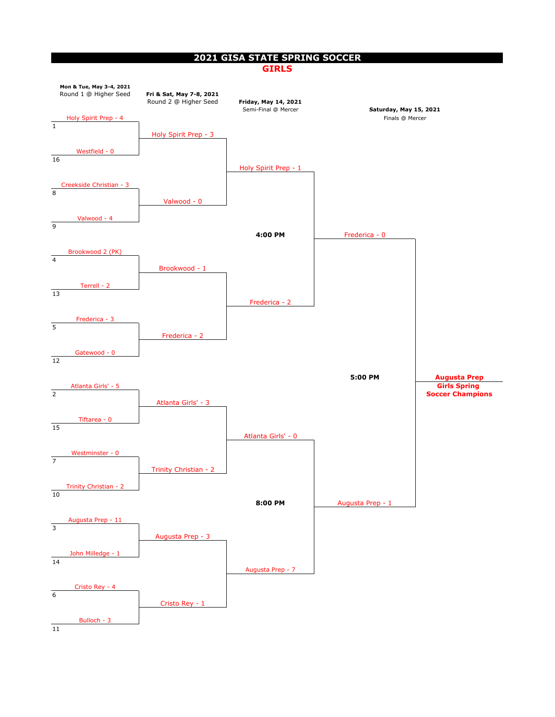### **2021 GISA STATE SPRING SOCCER**

#### **GIRLS**